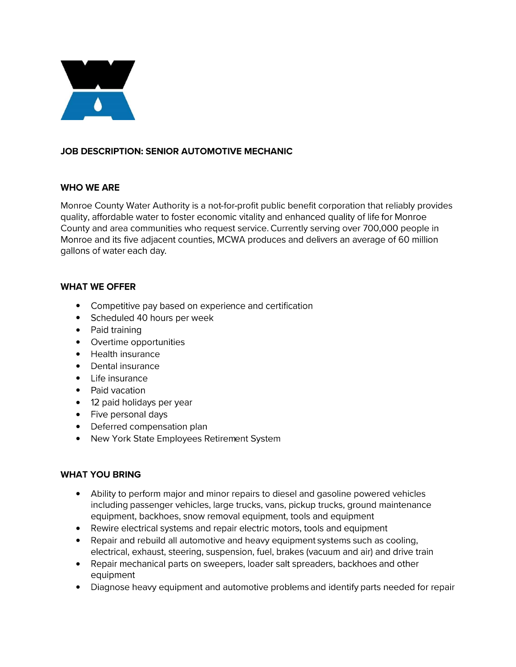

# **JOB DESCRIPTION: SENIOR AUTOMOTIVE MECHANIC**

### **WHO WEARE**

Monroe County Water Authority is a not-for-profit public benefit corporation that reliably provides quality, affordable water to foster economic vitality and enhanced quality of life for Monroe County and area communities who request service. Currently serving over 700,000 people in Monroe and its five adjacent counties, MCWA produces and delivers an average of 60 million gallons of water each day.

#### **WHAT WE OFFER**

- Competitive pay based on experience and certification
- Scheduled 40 hours per week
- Paid training
- Overtime opportunities
- Health insurance
- Dental insurance
- Life insurance
- Paid vacation
- **12** paid holidays per year
- Five personal days
- Deferred compensation plan
- New York State Employees Retirement System

## **WHAT YOU BRING**

- Ability to perform major and minor repairs to diesel and gasoline powered vehicles including passenger vehicles, large trucks, vans, pickup trucks, ground maintenance equipment, backhoes, snow removal equipment, tools and equipment
- Rewire electrical systems and repair electric motors, tools and equipment
- Repair and rebuild all automotive and heavy equipment systems such as cooling, electrical, exhaust, steering, suspension, fuel, brakes (vacuum and air) and drive train
- Repair mechanical parts on sweepers, loader salt spreaders, backhoes and other equipment
- Diagnose heavy equipment and automotive problems and identify parts needed for repair